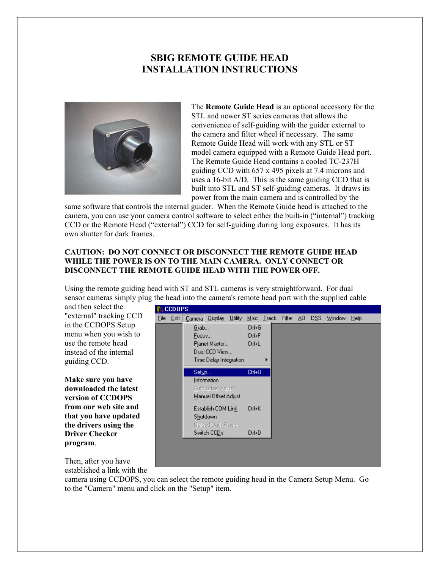## **SBIG REMOTE GUIDE HEAD INSTALLATION INSTRUCTIONS**



The **Remote Guide Head** is an optional accessory for t he STL and newer ST series cameras that allows the convenience of self-guiding with the guider external to the camera and filter wheel if necessary. The same Remote Guide Head will work with any STL or ST model camera equipped with a Remote Guide Head port. The Remote Guide Head contains a cooled TC-237H guiding CCD with 657 x 495 pixels at 7.4 microns and uses a 16-bit A/D. This is the same guiding CCD that is built into STL and ST self-guiding cameras. It draws its power from the main camera and is controlled by the

same software that controls the internal guider. When the Remote Guide head is attached to the camera, you can use your camera control software to select either the built-in ("internal") tracking CCD or the Remote Head ("external") CCD for self-guiding during long exposures. It has its own shutter for dark frames.

## **CAUTION: DO NOT CONNECT OR DISCONNECT THE REMOTE GUIDE HEAD WHILE THE POWER IS ON TO THE MAIN CAMERA. ONLY CONNECT OR DISCONNECT THE REMOTE GUIDE HEAD WITH THE POWER OFF.**

Using the remote guiding head with ST and STL cameras is very straightforward. For dual sensor cameras simply plug the head into the camera's remote head port with the supplied cable

and then select the "external" tracking CCD in the CCDOPS Setup menu when you wish to use the remote head instead of the internal guiding CCD.

**Make sure you have downloaded the latest version of CCDOPS from our web site and that you have updated the drivers using the Driver Checker program**.

| <b>CCDOPS</b> |                        |                      |                    |         |         |               |  |        |     |              |        |      |  |
|---------------|------------------------|----------------------|--------------------|---------|---------|---------------|--|--------|-----|--------------|--------|------|--|
| Eile          | Edit                   | Camera               | $D$ isplay         | Utility | $M$ isc | <b>I</b> rack |  | Filter | AO. | D <u>S</u> S | Window | Help |  |
|               |                        | Grab                 |                    |         | Ctrl+G  |               |  |        |     |              |        |      |  |
|               |                        | Focus                |                    |         | Ctrl+F  |               |  |        |     |              |        |      |  |
|               |                        | Planet Master        |                    |         | Ctrl+L  |               |  |        |     |              |        |      |  |
|               |                        | Dual CCD View        |                    |         |         |               |  |        |     |              |        |      |  |
|               | Time Delay Integration |                      |                    |         |         |               |  |        |     |              |        |      |  |
|               | Set <u>up</u>          |                      |                    |         | Ctrl+U  |               |  |        |     |              |        |      |  |
|               | Information            |                      |                    |         |         |               |  |        |     |              |        |      |  |
|               |                        |                      | Auto Offset Adjust |         |         |               |  |        |     |              |        |      |  |
|               |                        | Manual Offset Adjust |                    |         |         |               |  |        |     |              |        |      |  |
|               |                        |                      | Establish COM Link |         | Ctrl+K  |               |  |        |     |              |        |      |  |
|               |                        |                      | <b>Shutdown</b>    |         |         |               |  |        |     |              |        |      |  |
|               |                        |                      | Upload Dark Frame  |         |         |               |  |        |     |              |        |      |  |
|               |                        |                      | Switch CCDs        |         | Ctrl+D  |               |  |        |     |              |        |      |  |
|               |                        |                      |                    |         |         |               |  |        |     |              |        |      |  |
|               |                        |                      |                    |         |         |               |  |        |     |              |        |      |  |
|               |                        |                      |                    |         |         |               |  |        |     |              |        |      |  |
|               |                        |                      |                    |         |         |               |  |        |     |              |        |      |  |

Then, after you have established a link with the

camera using CCDOPS, you can select the remote guiding head in the Camera Setup Menu. Go to the "Camera" menu and click on the "Setup" item.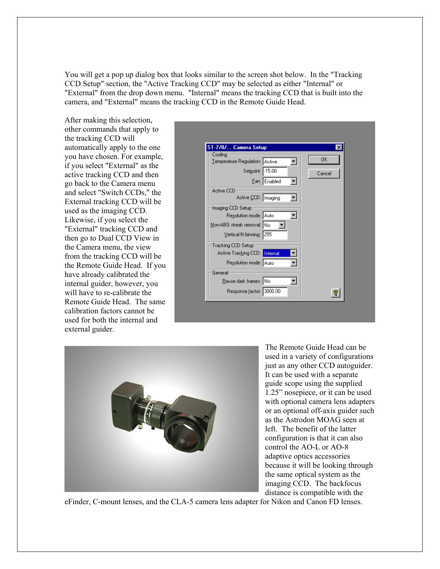You will get a pop up dialog box that looks similar to the screen shot below. In the "Tracking CCD Setup" section, the "Active Tracking CCD" may be selected as either "Internal" or "External" from the drop down menu. "Internal" means the tracking CCD that is built into the camera, and "External" means the tracking CCD in the Remote Guide Head.

After making this selection, other commands that apply to the tracking CCD will automatically apply to the one you have chosen. For example, if you select "External" as the active tracking CCD and then go back to the Camera menu and select "Switch CCDs," the External tracking CCD will be used as the imaging CCD. Likewise, if you select the "External" tracking CCD and then go to Dual CCD View in the Camera menu, the view from the tracking CCD will be the Remote Guide Head. If you have already calibrated the internal guider, however, you will have to re-calibrate the Remote Guide Head. The same calibration factors cannot be used for both the internal and external guider.





The Remote Guide Head can be used in a variety of configurations just as any other CCD a utoguider. It can be used with a separate guide scope using the supplied 1.25" nosepiece, or it can be used with optional camera lens adapters or an optional off-axis guider suc h as the Astrodon MOAG seen at left. The benefit of the latter configuration is that it can also control the AO-L or AO-8 adaptive optics accessories because it will be looking through the same optical system as the imaging CCD. The backfocus distance is compatible with the

eFinder, C-mount lenses, and the CLA-5 camera lens adapter for Nikon and Canon FD lenses.